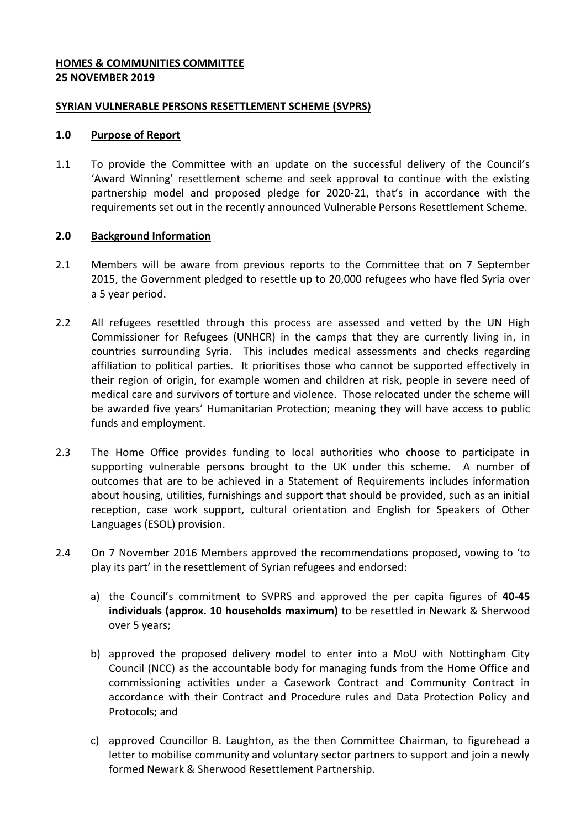# **HOMES & COMMUNITIES COMMITTEE 25 NOVEMBER 2019**

## **SYRIAN VULNERABLE PERSONS RESETTLEMENT SCHEME (SVPRS)**

## **1.0 Purpose of Report**

1.1 To provide the Committee with an update on the successful delivery of the Council's 'Award Winning' resettlement scheme and seek approval to continue with the existing partnership model and proposed pledge for 2020-21, that's in accordance with the requirements set out in the recently announced Vulnerable Persons Resettlement Scheme.

# **2.0 Background Information**

- 2.1 Members will be aware from previous reports to the Committee that on 7 September 2015, the Government pledged to resettle up to 20,000 refugees who have fled Syria over a 5 year period.
- 2.2 All refugees resettled through this process are assessed and vetted by the UN High Commissioner for Refugees (UNHCR) in the camps that they are currently living in, in countries surrounding Syria. This includes medical assessments and checks regarding affiliation to political parties. It prioritises those who cannot be supported effectively in their region of origin, for example women and children at risk, people in severe need of medical care and survivors of torture and violence. Those relocated under the scheme will be awarded five years' Humanitarian Protection; meaning they will have access to public funds and employment.
- 2.3 The Home Office provides funding to local authorities who choose to participate in supporting vulnerable persons brought to the UK under this scheme. A number of outcomes that are to be achieved in a Statement of Requirements includes information about housing, utilities, furnishings and support that should be provided, such as an initial reception, case work support, cultural orientation and English for Speakers of Other Languages (ESOL) provision.
- 2.4 On 7 November 2016 Members approved the recommendations proposed, vowing to 'to play its part' in the resettlement of Syrian refugees and endorsed:
	- a) the Council's commitment to SVPRS and approved the per capita figures of **40-45 individuals (approx. 10 households maximum)** to be resettled in Newark & Sherwood over 5 years;
	- b) approved the proposed delivery model to enter into a MoU with Nottingham City Council (NCC) as the accountable body for managing funds from the Home Office and commissioning activities under a Casework Contract and Community Contract in accordance with their Contract and Procedure rules and Data Protection Policy and Protocols; and
	- c) approved Councillor B. Laughton, as the then Committee Chairman, to figurehead a letter to mobilise community and voluntary sector partners to support and join a newly formed Newark & Sherwood Resettlement Partnership.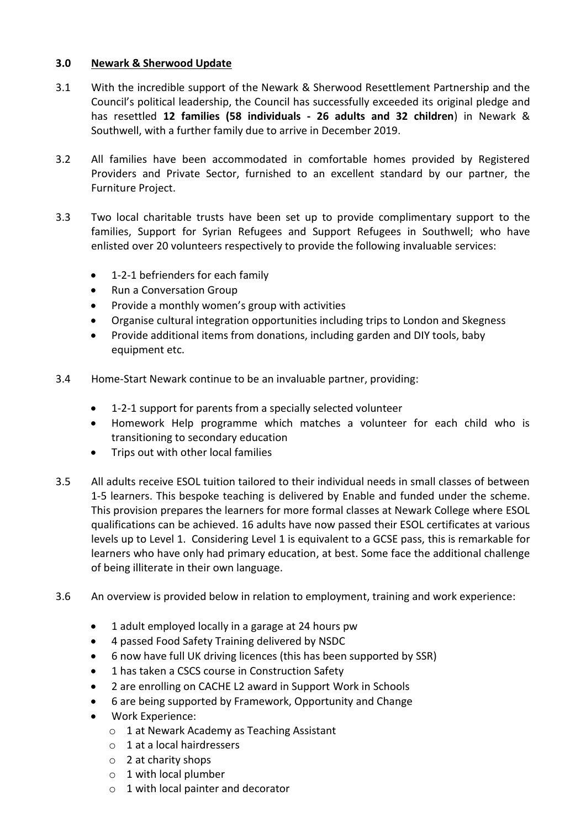# **3.0 Newark & Sherwood Update**

- 3.1 With the incredible support of the Newark & Sherwood Resettlement Partnership and the Council's political leadership, the Council has successfully exceeded its original pledge and has resettled **12 families (58 individuals - 26 adults and 32 children**) in Newark & Southwell, with a further family due to arrive in December 2019.
- 3.2 All families have been accommodated in comfortable homes provided by Registered Providers and Private Sector, furnished to an excellent standard by our partner, the Furniture Project.
- 3.3 Two local charitable trusts have been set up to provide complimentary support to the families, Support for Syrian Refugees and Support Refugees in Southwell; who have enlisted over 20 volunteers respectively to provide the following invaluable services:
	- 1-2-1 befrienders for each family
	- Run a Conversation Group
	- Provide a monthly women's group with activities
	- Organise cultural integration opportunities including trips to London and Skegness
	- Provide additional items from donations, including garden and DIY tools, baby equipment etc.
- 3.4 Home-Start Newark continue to be an invaluable partner, providing:
	- 1-2-1 support for parents from a specially selected volunteer
	- Homework Help programme which matches a volunteer for each child who is transitioning to secondary education
	- Trips out with other local families
- 3.5 All adults receive ESOL tuition tailored to their individual needs in small classes of between 1-5 learners. This bespoke teaching is delivered by Enable and funded under the scheme. This provision prepares the learners for more formal classes at Newark College where ESOL qualifications can be achieved. 16 adults have now passed their ESOL certificates at various levels up to Level 1. Considering Level 1 is equivalent to a GCSE pass, this is remarkable for learners who have only had primary education, at best. Some face the additional challenge of being illiterate in their own language.
- 3.6 An overview is provided below in relation to employment, training and work experience:
	- 1 adult employed locally in a garage at 24 hours pw
	- 4 passed Food Safety Training delivered by NSDC
	- 6 now have full UK driving licences (this has been supported by SSR)
	- 1 has taken a CSCS course in Construction Safety
	- 2 are enrolling on CACHE L2 award in Support Work in Schools
	- 6 are being supported by Framework, Opportunity and Change
	- Work Experience:
		- o 1 at Newark Academy as Teaching Assistant
		- o 1 at a local hairdressers
		- o 2 at charity shops
		- o 1 with local plumber
		- o 1 with local painter and decorator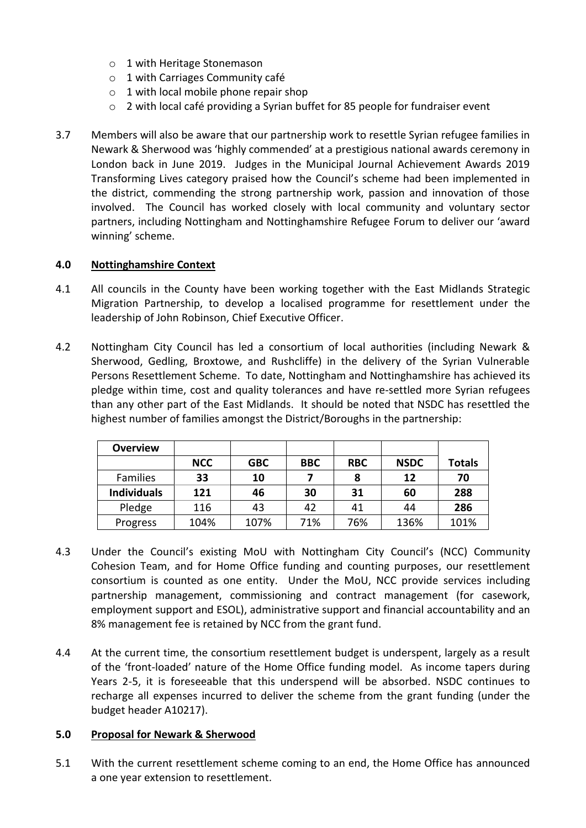- o 1 with Heritage Stonemason
- o 1 with Carriages Community café
- $\circ$  1 with local mobile phone repair shop
- $\circ$  2 with local café providing a Syrian buffet for 85 people for fundraiser event
- 3.7 Members will also be aware that our partnership work to resettle Syrian refugee families in Newark & Sherwood was 'highly commended' at a prestigious national awards ceremony in London back in June 2019. Judges in the Municipal Journal Achievement Awards 2019 Transforming Lives category praised how the Council's scheme had been implemented in the district, commending the strong partnership work, passion and innovation of those involved. The Council has worked closely with local community and voluntary sector partners, including Nottingham and Nottinghamshire Refugee Forum to deliver our 'award winning' scheme.

## **4.0 Nottinghamshire Context**

- 4.1 All councils in the County have been working together with the East Midlands Strategic Migration Partnership, to develop a localised programme for resettlement under the leadership of John Robinson, Chief Executive Officer.
- 4.2 Nottingham City Council has led a consortium of local authorities (including Newark & Sherwood, Gedling, Broxtowe, and Rushcliffe) in the delivery of the Syrian Vulnerable Persons Resettlement Scheme. To date, Nottingham and Nottinghamshire has achieved its pledge within time, cost and quality tolerances and have re-settled more Syrian refugees than any other part of the East Midlands. It should be noted that NSDC has resettled the highest number of families amongst the District/Boroughs in the partnership:

| <b>Overview</b>    |            |            |            |            |             |               |
|--------------------|------------|------------|------------|------------|-------------|---------------|
|                    | <b>NCC</b> | <b>GBC</b> | <b>BBC</b> | <b>RBC</b> | <b>NSDC</b> | <b>Totals</b> |
| <b>Families</b>    | 33         | 10         |            | 8          | 12          | 70            |
| <b>Individuals</b> | 121        | 46         | 30         | 31         | 60          | 288           |
| Pledge             | 116        | 43         | 42         | 41         | 44          | 286           |
| Progress           | 104%       | 107%       | 71%        | 76%        | 136%        | 101%          |

- 4.3 Under the Council's existing MoU with Nottingham City Council's (NCC) Community Cohesion Team, and for Home Office funding and counting purposes, our resettlement consortium is counted as one entity. Under the MoU, NCC provide services including partnership management, commissioning and contract management (for casework, employment support and ESOL), administrative support and financial accountability and an 8% management fee is retained by NCC from the grant fund.
- 4.4 At the current time, the consortium resettlement budget is underspent, largely as a result of the 'front-loaded' nature of the Home Office funding model. As income tapers during Years 2-5, it is foreseeable that this underspend will be absorbed. NSDC continues to recharge all expenses incurred to deliver the scheme from the grant funding (under the budget header A10217).

#### **5.0 Proposal for Newark & Sherwood**

5.1 With the current resettlement scheme coming to an end, the Home Office has announced a one year extension to resettlement.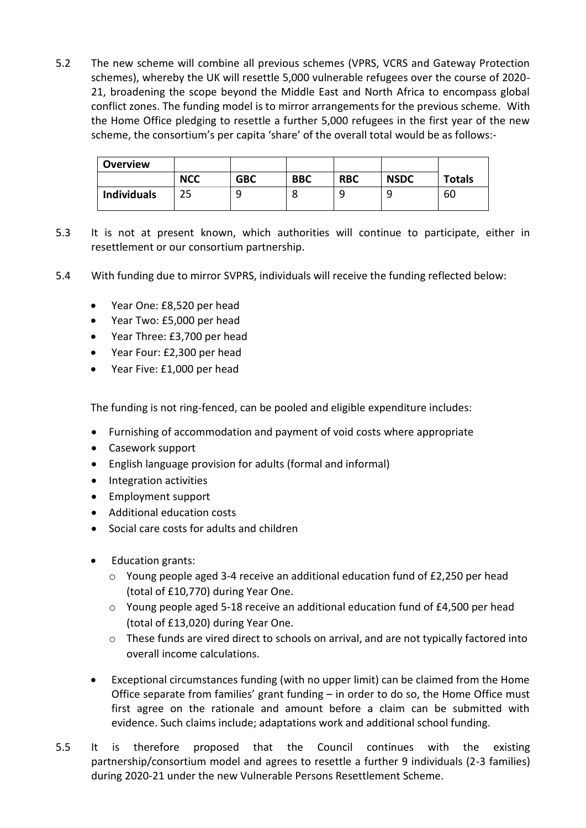5.2 The new scheme will combine all previous schemes (VPRS, VCRS and Gateway Protection schemes), whereby the UK will resettle 5,000 vulnerable refugees over the course of 2020- 21, broadening the scope beyond the Middle East and North Africa to encompass global conflict zones. The funding model is to mirror arrangements for the previous scheme. With the Home Office pledging to resettle a further 5,000 refugees in the first year of the new scheme, the consortium's per capita 'share' of the overall total would be as follows:-

| <b>Overview</b>    |            |            |            |            |             |               |
|--------------------|------------|------------|------------|------------|-------------|---------------|
|                    | <b>NCC</b> | <b>GBC</b> | <b>BBC</b> | <b>RBC</b> | <b>NSDC</b> | <b>Totals</b> |
| <b>Individuals</b> |            |            |            |            |             | 60            |

- 5.3 It is not at present known, which authorities will continue to participate, either in resettlement or our consortium partnership.
- 5.4 With funding due to mirror SVPRS, individuals will receive the funding reflected below:
	- Year One: £8,520 per head
	- Year Two: £5,000 per head
	- Year Three: £3,700 per head
	- Year Four: £2,300 per head
	- Year Five: £1,000 per head

The funding is not ring-fenced, can be pooled and eligible expenditure includes:

- Furnishing of accommodation and payment of void costs where appropriate
- Casework support
- English language provision for adults (formal and informal)
- Integration activities
- Employment support
- Additional education costs
- Social care costs for adults and children
- Education grants:
	- $\circ$  Young people aged 3-4 receive an additional education fund of £2,250 per head (total of £10,770) during Year One.
	- o Young people aged 5-18 receive an additional education fund of £4,500 per head (total of £13,020) during Year One.
	- $\circ$  These funds are vired direct to schools on arrival, and are not typically factored into overall income calculations.
- Exceptional circumstances funding (with no upper limit) can be claimed from the Home Office separate from families' grant funding – in order to do so, the Home Office must first agree on the rationale and amount before a claim can be submitted with evidence. Such claims include; adaptations work and additional school funding.
- 5.5 It is therefore proposed that the Council continues with the existing partnership/consortium model and agrees to resettle a further 9 individuals (2-3 families) during 2020-21 under the new Vulnerable Persons Resettlement Scheme.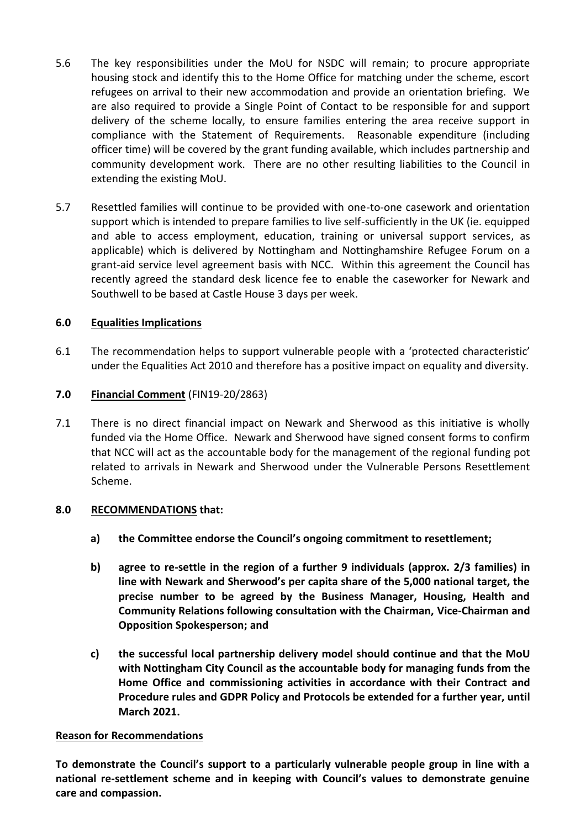- 5.6 The key responsibilities under the MoU for NSDC will remain; to procure appropriate housing stock and identify this to the Home Office for matching under the scheme, escort refugees on arrival to their new accommodation and provide an orientation briefing. We are also required to provide a Single Point of Contact to be responsible for and support delivery of the scheme locally, to ensure families entering the area receive support in compliance with the Statement of Requirements. Reasonable expenditure (including officer time) will be covered by the grant funding available, which includes partnership and community development work. There are no other resulting liabilities to the Council in extending the existing MoU.
- 5.7 Resettled families will continue to be provided with one-to-one casework and orientation support which is intended to prepare families to live self-sufficiently in the UK (ie. equipped and able to access employment, education, training or universal support services, as applicable) which is delivered by Nottingham and Nottinghamshire Refugee Forum on a grant-aid service level agreement basis with NCC. Within this agreement the Council has recently agreed the standard desk licence fee to enable the caseworker for Newark and Southwell to be based at Castle House 3 days per week.

# **6.0 Equalities Implications**

6.1 The recommendation helps to support vulnerable people with a 'protected characteristic' under the Equalities Act 2010 and therefore has a positive impact on equality and diversity.

# **7.0 Financial Comment** (FIN19-20/2863)

7.1 There is no direct financial impact on Newark and Sherwood as this initiative is wholly funded via the Home Office. Newark and Sherwood have signed consent forms to confirm that NCC will act as the accountable body for the management of the regional funding pot related to arrivals in Newark and Sherwood under the Vulnerable Persons Resettlement Scheme.

## **8.0 RECOMMENDATIONS that:**

- **a) the Committee endorse the Council's ongoing commitment to resettlement;**
- **b) agree to re-settle in the region of a further 9 individuals (approx. 2/3 families) in line with Newark and Sherwood's per capita share of the 5,000 national target, the precise number to be agreed by the Business Manager, Housing, Health and Community Relations following consultation with the Chairman, Vice-Chairman and Opposition Spokesperson; and**
- **c) the successful local partnership delivery model should continue and that the MoU with Nottingham City Council as the accountable body for managing funds from the Home Office and commissioning activities in accordance with their Contract and Procedure rules and GDPR Policy and Protocols be extended for a further year, until March 2021.**

## **Reason for Recommendations**

**To demonstrate the Council's support to a particularly vulnerable people group in line with a national re-settlement scheme and in keeping with Council's values to demonstrate genuine care and compassion.**